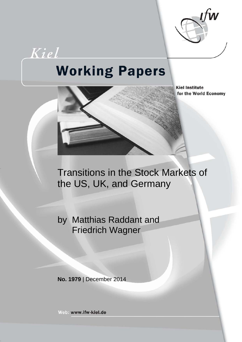

# **Working Papers**

Kiel



**Kiel Institute** for the World Economy

Transitions in the Stock Markets of the US, UK, and Germany

by Matthias Raddant and Friedrich Wagner

**No. 1979** | December 2014

Web: www.ifw-kiel.de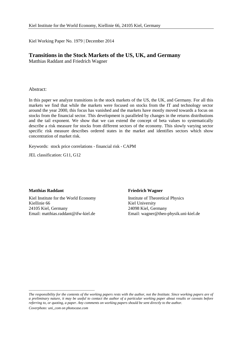Kiel Working Paper No. 1979 | December 2014

## **Transitions in the Stock Markets of the US, UK, and Germany**

Matthias Raddant and Friedrich Wagner

## Abstract:

In this paper we analyze transitions in the stock markets of the US, the UK, and Germany. For all this markets we find that while the markets were focused on stocks from the IT and technology sector around the year 2000, this focus has vanished and the markets have mostly moved towards a focus on stocks from the financial sector. This development is paralleled by changes in the returns distributions and the tail exponent. We show that we can extend the concept of beta values to systematically describe a risk measure for stocks from different sectors of the economy. This slowly varying sector specific risk measure describes ordered states in the market and identifies sectors which show concentration of market risk.

Keywords: stock price correlations - financial risk - CAPM

JEL classification: G11, G12

## **Matthias Raddant**

Kiel Institute for the World Economy Kiellinie 66 24105 Kiel, Germany Email: matthias.raddant@ifw-kiel.de

## **Friedrich Wagner**

Institute of Theoretical Physics Kiel University 24098 Kiel, Germany Email: wagner@theo-physik.uni-kiel.de

*Coverphoto: uni\_com on photocase.com*

\_\_\_\_\_\_\_\_\_\_\_\_\_\_\_\_\_\_\_\_\_\_\_\_\_\_\_\_\_\_\_\_\_\_\_\_

*The responsibility for the contents of the working papers rests with the author, not the Institute. Since working papers are of a preliminary nature, it may be useful to contact the author of a particular working paper about results or caveats before referring to, or quoting, a paper. Any comments on working papers should be sent directly to the author.*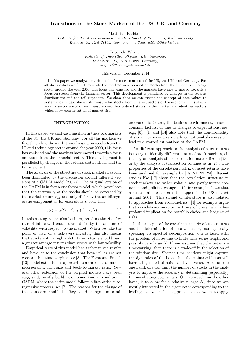## Transitions in the Stock Markets of the US, UK, and Germany

Matthias Raddant

Institute for the World Economy and Department of Economics, Kiel University Kiellinie 66, Kiel 24105, Germany, matthias.raddant@ifw-kiel.de,

Friedrich Wagner

Institute of Theoretical Physics, Kiel University Leibnizstr. 19, Kiel 24098, Germany, wagner@theo-physik.uni-kiel.de

This version: December 2014

In this paper we analyze transitions in the stock markets of the US, the UK, and Germany. For all this markets we find that while the markets were focused on stocks from the IT and technology sector around the year 2000, this focus has vanished and the markets have mostly moved towards a focus on stocks from the financial sector. This development is paralleled by changes in the returns distributions and the tail exponent. We show that we can extend the concept of beta values to systematically describe a risk measure for stocks from different sectors of the economy. This slowly varying sector specific risk measure describes ordered states in the market and identifies sectors which show concentration of market risk.

#### INTRODUCTION

In this paper we analyze transition in the stock markets of the US, the UK and Germany. For all this markets we find that while the market was focused on stocks from the IT and technology sector around the year 2000, this focus has vanished and the markets have moved towards a focus on stocks from the financial sector. This development is paralleled by changes in the returns distributions and the tail exponent.

The analysis of the structure of stock markets has long been dominated by the discussion around different versions of a CAPM model [20, 27]. The original version of the CAPM is in fact a one factor model, which postulates that the returns  $r_i$  of the stocks should be governed by the market return  $r_M$  and only differ by the an idiosyncratic component  $\beta_i$  for each stock i, such that

$$
r_i(t) = \alpha(t) + \beta_i r_M(t) + \epsilon_i(t). \tag{1}
$$

In this setting  $\alpha$  can also be interpreted as the risk free rate of interest. Hence, stocks differ by the amount of volatility with respect to the market. When we take the point of view of a risk-avers investor, this also means that stocks with a high volatility in returns should have a greater average returns than stocks with low volatility.

Empirical tests of this model had rather mixed results and have let to the conclusion that beta values are not constant but time-varying, see [8]. The Fama and French [13] model extends this approach to a three-factor model, incorporating firm size and book-to-market ratio. Several other extension of the original models have been suggested, mostly building on some kind of conditional CAPM, where the entire model follows a first-order autoregressive process, see [7]. The reasons for the change of the betas are manifold. They could change due to microeconomic factors, the business environment, macroeconomic factors, or due to changes of expectations, see, e.g., [6]. [1] and [14] also note that the non-normality of stock returns and especially conditional skewness can lead to distorted estimations of the CAPM.

An different approach to the analysis of asset returns is to try to identify different states of stock markets, either by an analysis of the correlation matrix like in [23], or by the analysis of transaction volumes as in [25]. The properties of the correlation matrix of asset returns have been analyzed for example by [18, 21, 22, 24]. Recent studies like [17] show that the correlation structure in stock markets are rather volatile, and partly mirror economic and political changes. [16] for example shows that a structural break seems to happen in the US market around 2001. This strand of literature is also related to approaches from econometrics. [4] for example argue that correlations increase in times of crisis, which has profound implication for portfolio choice and hedging of risks.

In the analysis of the covariance matrix of asset returns and the determination of beta values, or, more generally speaking, its spectral decomposition, one is faced with the problem of noise due to finite time series length and possibly very large N. If one assumes that the betas are time-varying, then there is a trade-off in the selection of the window size. Shorter time windows might capture the dynamics of the betas, but the estimated betas will have a high level of noise, and vice versa. Also, on the one hand, one can limit the number of stocks in the analysis to improve the accuracy in determining (especially) the non-leading eigenvalues. Our approach, on the other hand, is to allow for a relatively large  $N$ , since we are mostly interested in the eigenvector corresponding to the leading eigenvalue. This approach also allows us to apply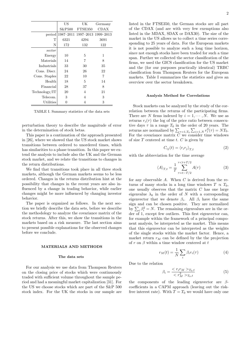|               | US                 | UК                            | Germany |
|---------------|--------------------|-------------------------------|---------|
|               | S&P <sub>500</sub> | FTSE350                       | CDAX    |
| period        |                    | 1987-2011 1997-2013 1999-2013 |         |
| T             | 6321               | 4294                          | 3691    |
| N             | 172                | 132                           | 122     |
| sector        |                    |                               |         |
| Energy        | 10                 | 5                             | 1       |
| Materials     | 14                 | 7                             | 8       |
| Industrials   | 33                 | 30                            | 35      |
| Cons. Discr.  | 24                 | 26                            | 22      |
| Cons. Staples | 22                 | 10                            | 7       |
| Health        | 18                 | 5                             | 14      |
| Financial     | 28                 | 37                            | 8       |
| Technology/IT | 20                 | 4                             | 21      |
| Telecom.      | 3                  | 4                             | 3       |
| Utilities     | 0                  | 4                             | 3       |

TABLE I. Summary statistics of the data sets

perturbation theory to describe the magnitude of error in the determination of stock betas.

This paper is a continuation of the approach presented in [26], where we showed that the US stock market shows transitions between ordered to unordered times, which has similarities to a phase transition. In this paper we extend the analysis to include also the UK and the German stock market, and we relate the transitions to changes in the return distributions.

We find that transitions took place in all three stock markets, although the German markets seems to be less ordered. Changes in the returns distribution hint at the possibility that changes in the recent years are also influenced by a change in trading behavior, while earlier changes might be more influenced by changing investor behavior.

The paper is organized as follows. In the next section we briefly describe the data sets, before we describe the methodology to analyze the covariance matrix of the stock returns. After this, we show the transitions in the markets based on a risk measure. The last section aims to present possible explanations for the observed changes before we conclude.

#### MATERIALS AND METHODS

#### The data sets

For our analysis we use data from Thompson Reuters on the closing price of stocks which were continuously traded with sufficient volume throughout the sample period and had a meaningful market capitalization [31]. For the US we choose stocks which are part of the S&P 500 stock index. For the UK the stocks in our sample are listed in the FTSE350, the German stocks are all part of the CDAX (and are with very few exemptions also listed in the MDAX, SDAX or DAX30). The size of the market in the US allows us to collect a time series corresponding to 25 years of data. For the European markets it is not possible to analyze such a long time horizon, since not enough stocks have been traded for such a time span. Further we collected the sector classification of the firms, we used the GICS classification for the US market and the (for our purposes practically identical) TRBC classification from Thompson Reuters for the European markets. Table I summarizes the statistics and gives an overview over the sector breakdown.

#### Analysis Method for Correlations

Stock markets can be analyzed by the study of the correlation between the returns of the participating firms. There are N firms indexed by  $i = 1, \dots, N$ . We use as returns  $r_i(\tau)$  the log of the price ratio between consecutive days  $\tau$  in a range  $T_0$  in the order of 20 years. The returns are normalized by  $\sum_{\tau=1,T_0} \sum_{i=1,N} r_i^2(\tau) = NT_0$ . For the covariance matrix  $C$  we consider time windows of size  $T$  centered at time  $t$ .  $C$  is given by

$$
C_{ij}(t) = \langle r_i r_j \rangle_{T,t} \tag{2}
$$

with the abbreviation for the time average

$$
\langle A \rangle_{T,t} = \frac{1}{T} \sum_{\tau=t-T/2}^{\tau < t+T/2} A(\tau) \tag{3}
$$

for any observable  $A$ . When  $C$  is derived from the returns of many stocks in a long time windows  $T \propto T_0$ , one usually observes that the matrix  $C$  has one large eigenvalue  $\lambda_0$  in the order of N with a corresponding eigenvector that we denote  $\beta_i$ . All  $\beta_i$  have the same sign and can be chosen positive. They are normalized by  $\sum_i \beta_i^2 = N$ . The remaining eigenvalues are in the order of 1, except few outliers. This first eigenvector can, for example within the framework of a principal component analysis, be interpreted as the market. This means that this eigenvector can be interpreted as the weights of the single stocks within the market factor. Hence, a market return  $r_M$  can be defined by the the projection of r on  $\beta$  within a time window centered at t

$$
r_M(t) = \frac{1}{N} \sum_{i} \beta_i r_i(\tau) \tag{4}
$$

Due to the relation

$$
\beta_i = \frac{\langle r_i r_M \rangle r_{0,t}}{\langle r_M^2 \rangle r_{0,t}} \tag{5}
$$

the components of the leading eigenvector are  $\beta$ coefficients in a CAPM approach (leaving out the riskfree interest rate). With  $T = T_0$  we would have only one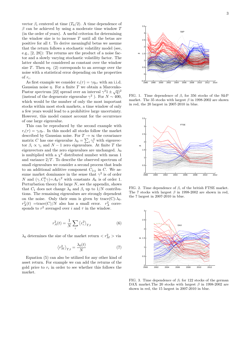vector  $\beta_i$  centered at time  $(T_0/2)$ . A time dependence of  $\beta$  can be achieved by using a moderate time window T (in the order of years). A useful criterion for determining the window size is to increase T until all the betas are positive for all  $t$ . To derive meaningful betas we assume that the return follows a stochastic volatility model (see, e.g., [2, 28]): The returns are the product of a noise factor and a slowly varying stochastic volatility factor. The latter should be considered as constant over the window size  $T$ . Then eq.  $(2)$  corresponds to an average over the noise with a statistical error depending on the properties of  $r_i$ .

As first example we consider  $r_i(\tau) = \gamma \eta_{i\tau}$  with an i.i.d. Gaussian noise  $\eta$ . For a finite T we obtain a Marcenko-Pastur spectrum [22] spread over an interval  $\gamma^2 1 \pm \sqrt{q}$ ]<sup>2</sup> (instead of the degenerate eigenvalue  $\gamma^2$ ). For  $N \sim 400$ , which would be the number of only the most important stocks within most stock markets, a time window of only a few years would lead to a prohibitive large uncertainty. However, this model cannot account for the occurrence of one large eigenvalue.

This can be reproduced by the second example with  $r_i(\tau) = \gamma_i \eta_{\tau}$ . In this model all stocks follow the market described by Gaussian noise. For  $T \to \infty$  the covariance matrix C has one eigenvalue  $\lambda_0 = \sum_i \gamma_i^2$  with eigenvector  $\beta_i \propto \gamma_i$  and  $N-1$  zero eigenvalues. At finite T the eigenvectors and the zero eigenvalues are unchanged.  $\lambda_0$ is multiplied with a  $\chi^2$  distributed number with mean 1 and variance  $2/T$ . To describe the observed spectrum of small eigenvalues we consider a second process that leads to an additional additive component  $C_{1ij}$  in C. We assume market dominance in the sense that  $\gamma^2$  is of order N and  $(\gamma, C_1^k \gamma) = A_k \gamma^2$  with constants  $A_k$  is of order 1. Perturbation theory for large  $N$ , see the appendix, shows that  $C_1$  does not change  $\lambda_0$  and  $\beta_i$  up to  $1/N$  contributions. The remaining eigenvalues are strongly dependent on the noise. Only their sum is given by  $trace(C)-\lambda_0$ .  $r_A^2(t)$  =trace(C)/N also has a small error.  $r_A^2$  corresponds to  $r^2$  averaged over i and  $\tau$  in the window.

$$
r_A^2(t) = \frac{1}{N} \sum_i \left\langle r_i^2 \right\rangle_{T,t} \tag{6}
$$

 $\lambda_0$  determines the size of the market return  $\langle r_M^2 \rangle$  via

$$
\left\langle r_M^2 \right\rangle_{T,t} = \frac{\lambda_0(t)}{N} \tag{7}
$$

Equation (5) can also be utilized for any other kind of asset return. For example we can add the returns of the gold price to  $r_i$  in order to see whether this follows the market.





0 0.5 1 1.5 2 2.5 3 3.5

β

FIG. 1. Time dependence of  $\beta_i$  for 356 stocks of the S&P market. The 35 stocks with largest  $\beta$  in 1998-2002 are shown in red, the 20 largest in 2007-2010 in blue.



FIG. 2. Time dependence of  $\beta_i$  of the british FTSE market. The 7 stocks with largest  $\beta$  in 1998-2002 are shown in red, the 7 largest in 2007-2010 in blue.



FIG. 3. Time dependence of  $\beta_i$  for 122 stocks of the german DAX market. The 20 stocks with largest  $\beta$  in 1998-2002 are shown in red, the 15 largest in 2007-2010 in blue.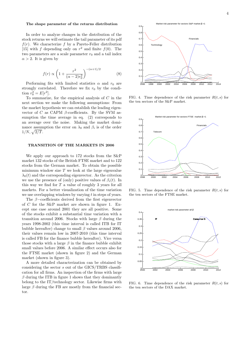#### The shape parameter of the returns distribution

In order to analyze changes in the distribution of the stock returns we will estimate the tail parameter of its pdf  $f(r)$ . We characterize f by a Pareto-Feller distribution [15] with f depending only on  $r^2$  and finite  $f(0)$ . The two parameters are a scale parameter  $r_0$  and a tail index  $\alpha > 2$ . It is given by

$$
f(r) \propto \left(1 + \frac{r^2}{(\alpha - 2)r_0^2}\right)^{-(\alpha + 1)/2}
$$
 (8)

Performing fits with limited statistics  $\alpha$  and  $r_0$  are strongly correlated. Therefore we fix  $r_0$  by the condition  $r_0^2 = E[r^2]$ .

To summarize, for the empirical analysis of  $C$  in the next section we make the following assumptions: From the market hypothesis we can establish the leading eigenvector of C as CAPM  $\beta$ -coefficients. By the SVM assumption the time average in eq. (2) corresponds to an average over the noise. Making the market dominance assumption the error on  $\lambda_0$  and  $\beta_i$  is of the order  $1/N, \sqrt{2/T}$ .

#### TRANSITION OF THE MARKETS IN 2006

We apply our approach to 172 stocks from the S&P market 132 stocks of the British FTSE market and to 122 stocks from the German market. To obtain the possible minimum window size  $T$  we look at the large eigenvalue  $\lambda_0(t)$  and the corresponding eigenvector. As the criterion we use the presence of (only) positive values of  $\beta_i(t)$ . In this way we find for  $T$  a value of roughly 3 years for all markets. For a better visualization of the time variation we use overlapping windows by varying  $t$  in steps of years.

The β−coefficients derived from the first eigenvector of C for the S&P market are shown in figure 1. Except one case around 2001 they are all positive. Some of the stocks exhibit a substantial time variation with a transition around 2006. Stocks with large  $\beta$  during the years 1998-2002 (this time interval is called ITB for IT bubble hereafter) change to small  $\beta$  values around 2006, their values remain low in 2007-2010 (this time interval is called FB for the finance bubble hereafter). Vice versa those stocks with a large  $\beta$  in the finance bubble exhibit small values before 2006. A similar effect occurs also for the FTSE market (shown in figure 2) and the German market (shown in figure 3).

A more detailed characterization can be obtained by considering the sector s out of the GICS/TRBS classification for all firms. An inspection of the firms with large  $\beta$  during the ITB in figure 1 shows that they dominantly belong to the IT/technology sector. Likewise firms with large  $\beta$  during the FB are mostly from the financial sector.



FIG. 4. Time dependence of the risk parameter  $R(t, s)$  for the ten sectors of the S&P market.



FIG. 5. Time dependence of the risk parameter  $R(t, s)$  for the ten sectors of the FTSE market.



FIG. 6. Time dependence of the risk parameter  $R(t, s)$  for the ten sectors of the DAX market.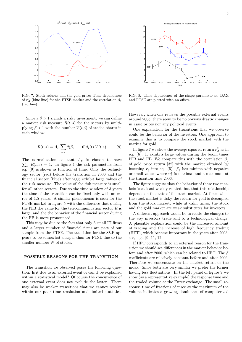

FIG. 7. Stock returns and the gold price: Time dependence of  $r_A^2$  (blue line) for the FTSE market and the correlation  $\beta_g$ (red line).

Since a  $\beta > 1$  signals a risky investment, we can define a market risk measure  $R(t, s)$  for the sectors by multiplying  $\beta > 1$  with the number  $V(t, i)$  of traded shares in each window

$$
R(t,s) = A_S \sum_{i\epsilon s} \theta(\beta_i - 1.0) \beta_i(t) V(t,i)
$$
 (9)

 $\sum_{s} R(t, s) = 1$ . In figure 4 the risk parameters from The normalization constant  $A<sub>S</sub>$  is chosen to have eq. (9) is shown as function of time. Only the technology sector (red) before the transition in 2006 and the financial sector (blue) after 2006 exhibit large values of the risk measure. The value of the risk measure is small for all other sectors. Due to the time window of 3 years the time of the transition can be fixed only with an error of 1.5 years. A similar phenomenon is seen for the FTSE market in figure 5 with the difference that during the ITB the value for the telecommunication sector  $R$  is large, and the the behavior of the financial sector during the FB is more pronounced.

This may be due to the fact that only 3 small IT firms and a larger number of financial firms are part of our sample from the FTSE. The transition for the S&P appears to be somewhat sharper than for FTSE due to the smaller number  $N$  of stocks.

#### POSSIBLE REASONS FOR THE TRANSITION

The transition we observed poses the following question: Is it due to an external event or can it be explained within a statistical model? Of course the concurrence of one external event does not exclude the latter. There may also be weaker transitions that we cannot resolve within our poor time resolution and limited statistics.



FIG. 8. Time dependence of the shape parameter  $\alpha$ . DAX and FTSE are plotted with an offset.

However, when one reviews the possible external events around 2006, there seem to be no obvious drastic changes in asset prices nor any political events.

One explanation for the transitions that we observe could be the behavior of the investors. One approach to examine this is to compare the stock market with the market for gold.

In figure 7 we show the average squared return  $r_A^2$  as in eq. (6). It exhibits large values during the boom times ITB and FB. We compare this with the correlation  $\beta_q$ of gold price return [32] with the market obtained by inserting  $r_g$  into eq. (5).  $\beta_g$  has minima with negative or small values where  $r_A^2$  is maximal and a maximum at the transition time 2006.

The figure suggests that the behavior of these two markets is at least weakly related, but that this relationship depends on the state of the stock market. At times when the stock market is risky the return for gold is decoupled from the stock market, while at calm times, the stock and the gold market are weak substitutes for investors.

A different approach would be to relate the changes to the way investors trade and to a technological change. A plausible explanation could be the increased amount of trading and the increase of high frequency trading (HFT), which became important in the years after 2005, see, e.g., [9, 11, 12].

If HFT corresponds to an external reason for the transition we should see differences in the market behavior before and after 2006, which can be related to HFT. The  $\beta$ coefficients are relatively constant before and after 2006. Therefore we concentrate on the market return or the index. Since both are very similar we prefer the former having less fluctuations. In the left panel of figure 9 we show (as a representative example) the response time and the traded volume at the Eurex exchange. The small response time of fractions of msec at the maximum of the volume indicates a growing dominance of computerized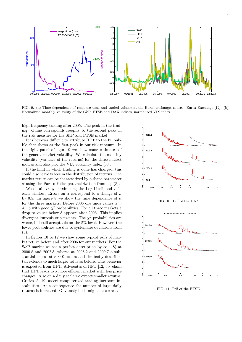

FIG. 9. (a) Time dependence of response time and traded volume at the Eurex exchange, source: Eurex Exchange [12]. (b) Normalized monthly volatility of the S&P, FTSE and DAX indices, normalized VIX index.

high-frequency trading after 2005. The peak in the trading volume corresponds roughly to the second peak in the risk measure for the S&P and FTSE market.

It is however difficult to attribute HFT to the IT bubble that shows as the first peak in our risk measure. In the right panel of figure 9 we show some estimates of the general market volatility. We calculate the monthly volatility (variance of the returns) for the three market indices and also plot the VIX volatility index [33].

If the kind in which trading is done has changed, this could also leave traces in the distribution of returns. The market return can be characterized by a shape parameter  $\alpha$  using the Pareto-Feller parametrization from eq. (8).

We obtain  $\alpha$  by maximizing the Log-Likelihood  $L$  in each window. Errors on  $\alpha$  correspond to a change of  $L$ by 0.5. In figure 8 we show the time dependence of  $\alpha$ for the three markets. Before 2006 one finds values  $\alpha \sim$  $4-5$  with good  $\chi^2$  probabilities. For all three markets a drop to values below 3 appears after 2006. This implies divergent kurtosis or skewness. The  $\chi^2$  probabilities are worse, but still acceptable on the 5% level. However, the lower probabilities are due to systematic deviations from (8).

In figures 10 to 12 we show some typical pdfs of market return before and after 2006 for our markets. For the S&P market we see a perfect description by eq. (8) at 2000.8 and 2002.3, wheras at 2008.2 and 2009.7 a substantial excess at  $r \sim 0$  occurs and the badly described tail extends to much larger value as before. This behavior is expected from HFT. Advocates of HFT [12, 30] claim that HFT leads to a more efficient market with less price changes. Also on a daily scale we expect smaller returns. Critics [5, 19] assert computerized trading increases instabilities. As a consequence the number of large daily returns is increased. Obviously both might be correct.



FIG. 10. Pdf of the DAX.



FIG. 11. Pdf of the FTSE.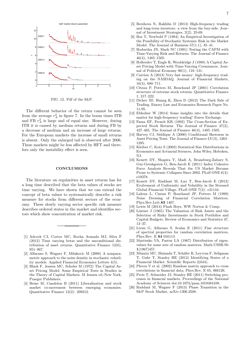

FIG. 12. Pdf of the S&P.

The different behavior of the return cannot be seen from the average  $r_A^2$  in figure 7. In the boom times ITB and FB  $r_A^2$  is large and of equal size. However, during ITB it is caused by medium returns and during FB by a decrease of medium and an increase of large returns. For the European markets the increase of small returns is absent. Only the enlarged tail is observed after 2006. These markets might be less affected by HFT and therefore only the instability effect is seen.

#### CONCLUSIONS

The literature on regularities in asset returns has for a long time described that the beta values of stocks are time varying. We have shown that we can extend the concept of beta values to systematically describe a risk measure for stocks from different sectors of the economy. These slowly varying sector specific risk measure describes ordered states in the market and identifies sectors which show concentration of market risk.

- [1] Adcock CJ, Cortez MC, Rocha Armada MJ, Silva F (2012) Time varying betas and the unconditional distribution of asset returns. Quantitative Finance 12(6), 951–967.
- [2] Alfarano S, Wagner F, Milakovic M (2008) A nonparametric approach to the noise density in stochastic volatility models. Applied Financial Economics Letters 4(5).
- [3] Black F, Jensen MC, Scholes M (1972) The Capital Asset Pricing Model. Some Empirical Tests in Studies in the Theory of Capital Markets. M Jensen ed.:New York, Praeger Publishers.
- [4] Beine M, Candelon B (2011) Liberalization and stock market co-movement between emerging economies. Quantitative Finance 12(2): 299312.
- [5] Bershova N, Rakhlin D (2013) High-frequency trading and long-term investors: a view from the buy-side. Journal of Investment Strategies, 2(2), 25-69.
- [6] Bos T, Newbold P (1984) An Empirical Investigation of the Possibility of Stochastic Systemic Risk in the Market Model. The Journal of Business 57(1.1), 35–41.
- [7] Bodurtha JN, Mark NC (1991) Testing the CAPM with Time-Varying Risk and Returns. The Journal of Finance 46(4), 1485–1505.
- [8] Bollerslev T, Engle R, Wooldridge J (1988) A Capital Asset Pricing Model with Time-Varying Covariances. Journal of Political Economy 96(1), 116–131.
- [9] Carrion A (2013) Very fast money: high-frequency trading on the NASDAQ. Journal of Financial Markets, 16(4), 680–711.
- [10] Citeau P, Potters M, Bouchaud JP (2001) Correlation structure of extreme stock returns. Quantitative Finance 1, 217–222.
- [11] Dichev ID, Huang K, Zhou D (2012) The Dark Side of Trading. Emory Law and Economics Research Paper No. 11-95.
- [12] Ebholzer W (2014) Some insights into the details that matter for high-frequency trading! Eurex Exchange.
- [13] Fama EF, French KR (1992) The Cross-Section of Expected Stock Returns. The Journal of Finance 47(2), 427–465. The Journal of Finance 46(4), 1485–1505.
- [14] Harvey CJ, Siddique A (2000) Conditional Skewness in Asset Pricing Tests. The Journal of Finance LV(3), 1263– 1295.
- [15] Kleiber C, Kotz S (2003) Statistical Size Distributions in Economics and Actuarial Sciences, John Wiley, Hoboken, NJ.
- [16] Kenett DY, Shapira Y, Madi A, Bransburg-Zabary S, Gur-Gershgoren G, Ben-Jacob E (2011) Index Cohesive Force Analysis Reveals That the US Market Became Prone to Systemic Collapses Since 2002. PLoS ONE 6(4): e19378.
- [17] Kenett DY, Raddant M, Lux T, Ben-Jacob E (2012) Evolvement of Uniformity and Volatility in the Stressed Global Financial Village. PLoS ONE 7(2): e31144.
- [18] Laloux L, Cizeau P, Bouchaud JP, Potters M (1999) Noise Dressing of Financial Correlation Matrices. Phys.Rev.Lett.83 1467.
- [19] Lewis M (2014) Flash Boys, WW Norton & Comp.
- [20] Lintner J (1965) The Valuation of Risk Assets and the Selection of Risky Investments in Stock Portfolios and Capital Budgets. Review of Economics and Statistics 47, 13–37.
- [21] Livan G, Alfarano S, Scalas E (2011) Fine structure of spectral properties for random correlation matrices, Phys.Rev. E 84 016113.
- [22] Marĉenko VA, Pastur LA (1967) Distribution of eigenvalues for some sets of random matrices. Math.USSR-Sb 1(1967)457.
- [23] Münnix MC, Shimada T, Schäfer R, Leyvraz F, Seligman T, Guhr T, Stanley HE (2012) Identifying States of a Financial Market. Scientific Reports 2(644).
- [24] Plerou V et al. (2002) Random matrix approach to cross correlations in financial data, Phys.Rev. E 65, 066126.
- [25] Preis T, Schneider JJ, Stanley HE (2011) Switching processes in financial markets. Proceedings of the National Academy of Sciences doi:10.1073/pnas.1019484108.
- [26] Raddant M, Wagner F (2013) Phase Transition in the S&P Stock Market, arXiv:1306.2508.